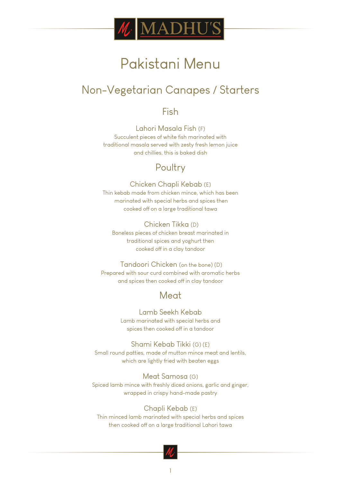

## Non-Vegetarian Canapes / Starters

## Fish

Lahori Masala Fish (F) Succulent pieces of white fish marinated with traditional masala served with zesty fresh lemon juice and chillies, this is baked dish

## Poultry

### Chicken Chapli Kebab (E)

Thin kebab made from chicken mince, which has been marinated with special herbs and spices then cooked off on a large traditional tawa

### Chicken Tikka (D)

Boneless pieces of chicken breast marinated in traditional spices and yoghurt then cooked off in a clay tandoor

### Tandoori Chicken (on the bone) (D)

Prepared with sour curd combined with aromatic herbs and spices then cooked off in clay tandoor

## Meat

### Lamb Seekh Kebab Lamb marinated with special herbs and

spices then cooked off in a tandoor

Shami Kebab Tikki (G) (E) Small round patties, made of mutton mince meat and lentils, which are lightly fried with beaten eggs

Meat Samosa (G) Spiced lamb mince with freshly diced onions, garlic and ginger, wrapped in crispy hand-made pastry

### Chapli Kebab (E)

Thin minced lamb marinated with special herbs and spices then cooked off on a large traditional Lahori tawa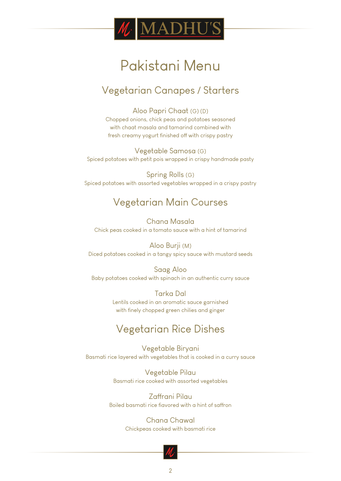

## Vegetarian Canapes / Starters

Aloo Papri Chaat (G) (D) Chopped onions, chick peas and potatoes seasoned with chaat masala and tamarind combined with fresh creamy yogurt finished off with crispy pastry

Vegetable Samosa (G) Spiced potatoes with petit pois wrapped in crispy handmade pasty

Spring Rolls (G) Spiced potatoes with assorted vegetables wrapped in a crispy pastry

## Vegetarian Main Courses

Chana Masala Chick peas cooked in a tomato sauce with a hint of tamarind

Aloo Burji (M) Diced potatoes cooked in a tangy spicy sauce with mustard seeds

#### Saag Aloo

Baby potatoes cooked with spinach in an authentic curry sauce

Tarka Dal Lentils cooked in an aromatic sauce garnished with finely chopped green chilies and ginger

## Vegetarian Rice Dishes

Vegetable Biryani Basmati rice layered with vegetables that is cooked in a curry sauce

> Vegetable Pilau Basmati rice cooked with assorted vegetables

Zaffrani Pilau Boiled basmati rice flavored with a hint of saffron

> Chana Chawal Chickpeas cooked with basmati rice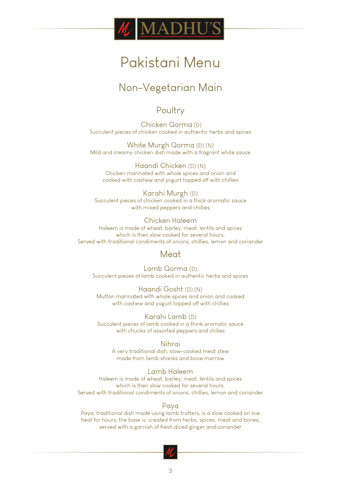

## Non-Vegetarian Main

### Poultry

 Chicken Qorma (D) Succulent pieces of chicken cooked in authentic herbs and spices

White Murgh Qorma (D) (N) Mild and creamy chicken dish made with a fragrant white sauce

Haandi Chicken (D) (N) Chicken marinated with whole spices and onion and cooked with cashew and yogurt topped off with chillies

Karahi Murgh (D) Succulent pieces of chicken cooked in a thick aromatic sauce with mixed peppers and chillies

#### Chicken Haleem Haleem is made of wheat, barley, meat, lentils and spices which is then slow cooked for several hours. Served with traditional condiments of onions, chillies, lemon and coriander

### Meat

Lamb Qorma (D) Succulent pieces of lamb cooked in authentic herbs and spices

Haandi Gosht (D) (N) Mutton marinated with whole spices and onion and cooked with cashew and yogurt topped off with chillies

Karahi Lamb (D) Succulent pieces of lamb cooked in a think aromatic sauce with chunks of assorted peppers and chilies

Nihrai A very traditional dish, slow-cooked meat stew made from lamb shanks and bone marrow

#### Lamb Haleem

Haleem is made of wheat, barley, meat, lentils and spices which is then slow cooked for several hours. Served with traditional condiments of onions, chillies, lemon and coriander

#### Paya

Paya, traditional dish made using lamb trotters, is a slow cooked on low heat for hours, the base is created from herbs, spices, meat and bones, served with a garnish of fresh diced ginger and coriander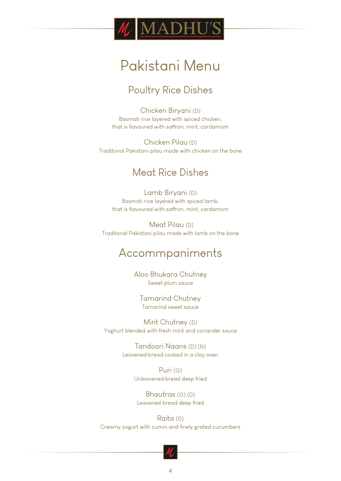

## Poultry Rice Dishes

Chicken Biryani (D) Basmati rice layered with spiced chicken, that is flavoured with saffron, mint, cardamom

Chicken Pilau (D) Traditonal Pakistani pilau made with chicken on the bone

## Meat Rice Dishes

Lamb Biryani (D) Basmati rice layered with spiced lamb, that is flavoured with saffron, mint, cardamom

 Meat Pilau (D) Traditonal Pakistani pilau made with lamb on the bone

## Accommpaniments

Aloo Bhukara Chutney Sweet plum sauce

Tamarind Chutney Tamarind sweet sauce

Mint Chutney (D) Yoghurt blended with fresh mint and coriander sauce

> Tandoori Naans (D) (N) Leavened bread cooked in a clay oven

> > Puri (G) Unleavened bread deep fried

Bhautras (G) (D) Leavened bread deep fried

Raita (D) Creamy yogurt with cumin and finely grated cucumbers